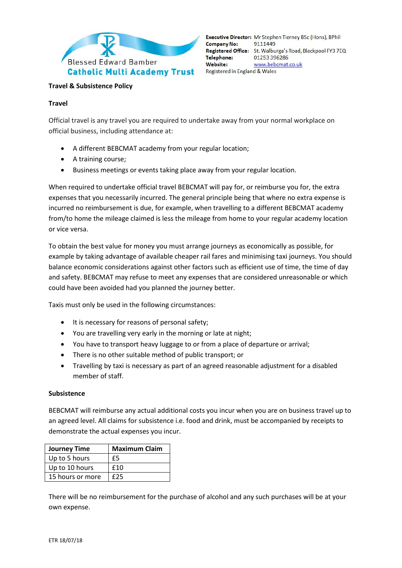

Executive Director: Mr Stephen Tierney BSc (Hons), BPhil **Company No:** 9111449 Registered Office: St. Walburga's Road, Blackpool FY3 7EQ **Telephone:** 01253 396286 **Website:** www.bebcmat.co.uk Registered in England & Wales

## **Travel & Subsistence Policy**

### **Travel**

Official travel is any travel you are required to undertake away from your normal workplace on official business, including attendance at:

- A different BEBCMAT academy from your regular location;
- A training course;
- Business meetings or events taking place away from your regular location.

When required to undertake official travel BEBCMAT will pay for, or reimburse you for, the extra expenses that you necessarily incurred. The general principle being that where no extra expense is incurred no reimbursement is due, for example, when travelling to a different BEBCMAT academy from/to home the mileage claimed is less the mileage from home to your regular academy location or vice versa.

To obtain the best value for money you must arrange journeys as economically as possible, for example by taking advantage of available cheaper rail fares and minimising taxi journeys. You should balance economic considerations against other factors such as efficient use of time, the time of day and safety. BEBCMAT may refuse to meet any expenses that are considered unreasonable or which could have been avoided had you planned the journey better.

Taxis must only be used in the following circumstances:

- It is necessary for reasons of personal safety;
- You are travelling very early in the morning or late at night;
- You have to transport heavy luggage to or from a place of departure or arrival;
- There is no other suitable method of public transport; or
- Travelling by taxi is necessary as part of an agreed reasonable adjustment for a disabled member of staff.

#### **Subsistence**

BEBCMAT will reimburse any actual additional costs you incur when you are on business travel up to an agreed level. All claims for subsistence i.e. food and drink, must be accompanied by receipts to demonstrate the actual expenses you incur.

| <b>Journey Time</b> | <b>Maximum Claim</b> |
|---------------------|----------------------|
| Up to 5 hours       | £5                   |
| Up to 10 hours      | f10                  |
| 15 hours or more    | f25                  |

There will be no reimbursement for the purchase of alcohol and any such purchases will be at your own expense.